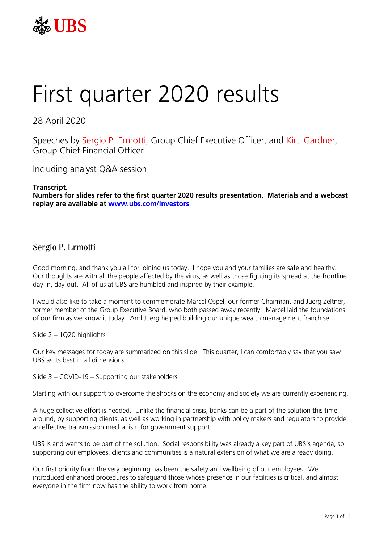

# First quarter 2020 results

28 April 2020

Speeches by Sergio P. Ermotti, Group Chief Executive Officer, and Kirt Gardner, Group Chief Financial Officer

Including analyst Q&A session

# **Transcript.**

**Numbers for slides refer to the first quarter 2020 results presentation. Materials and a webcast replay are available at [www.ubs.com/investors](http://www.ubs.com/investors)**

# Sergio P. Ermotti

Good morning, and thank you all for joining us today. I hope you and your families are safe and healthy. Our thoughts are with all the people affected by the virus, as well as those fighting its spread at the frontline day-in, day-out. All of us at UBS are humbled and inspired by their example.

I would also like to take a moment to commemorate Marcel Ospel, our former Chairman, and Juerg Zeltner, former member of the Group Executive Board, who both passed away recently. Marcel laid the foundations of our firm as we know it today. And Juerg helped building our unique wealth management franchise.

# Slide 2 – 1Q20 highlights

Our key messages for today are summarized on this slide. This quarter, I can comfortably say that you saw UBS as its best in all dimensions.

#### Slide 3 – COVID-19 – Supporting our stakeholders

Starting with our support to overcome the shocks on the economy and society we are currently experiencing.

A huge collective effort is needed. Unlike the financial crisis, banks can be a part of the solution this time around, by supporting clients, as well as working in partnership with policy makers and regulators to provide an effective transmission mechanism for government support.

UBS is and wants to be part of the solution. Social responsibility was already a key part of UBS's agenda, so supporting our employees, clients and communities is a natural extension of what we are already doing.

Our first priority from the very beginning has been the safety and wellbeing of our employees. We introduced enhanced procedures to safeguard those whose presence in our facilities is critical, and almost everyone in the firm now has the ability to work from home.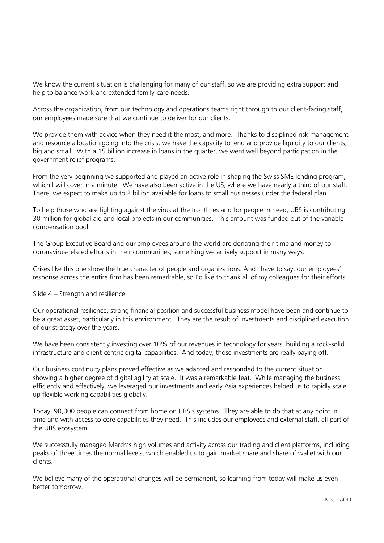We know the current situation is challenging for many of our staff, so we are providing extra support and help to balance work and extended family-care needs.

Across the organization, from our technology and operations teams right through to our client-facing staff, our employees made sure that we continue to deliver for our clients.

We provide them with advice when they need it the most, and more. Thanks to disciplined risk management and resource allocation going into the crisis, we have the capacity to lend and provide liquidity to our clients, big and small. With a 15 billion increase in loans in the quarter, we went well beyond participation in the government relief programs.

From the very beginning we supported and played an active role in shaping the Swiss SME lending program, which I will cover in a minute. We have also been active in the US, where we have nearly a third of our staff. There, we expect to make up to 2 billion available for loans to small businesses under the federal plan.

To help those who are fighting against the virus at the frontlines and for people in need, UBS is contributing 30 million for global aid and local projects in our communities. This amount was funded out of the variable compensation pool.

The Group Executive Board and our employees around the world are donating their time and money to coronavirus-related efforts in their communities, something we actively support in many ways.

Crises like this one show the true character of people and organizations. And I have to say, our employees' response across the entire firm has been remarkable, so I'd like to thank all of my colleagues for their efforts.

### Slide 4 – Strength and resilience

Our operational resilience, strong financial position and successful business model have been and continue to be a great asset, particularly in this environment. They are the result of investments and disciplined execution of our strategy over the years.

We have been consistently investing over 10% of our revenues in technology for years, building a rock-solid infrastructure and client-centric digital capabilities. And today, those investments are really paying off.

Our business continuity plans proved effective as we adapted and responded to the current situation, showing a higher degree of digital agility at scale. It was a remarkable feat. While managing the business efficiently and effectively, we leveraged our investments and early Asia experiences helped us to rapidly scale up flexible working capabilities globally.

Today, 90,000 people can connect from home on UBS's systems. They are able to do that at any point in time and with access to core capabilities they need. This includes our employees and external staff, all part of the UBS ecosystem.

We successfully managed March's high volumes and activity across our trading and client platforms, including peaks of three times the normal levels, which enabled us to gain market share and share of wallet with our clients.

We believe many of the operational changes will be permanent, so learning from today will make us even better tomorrow.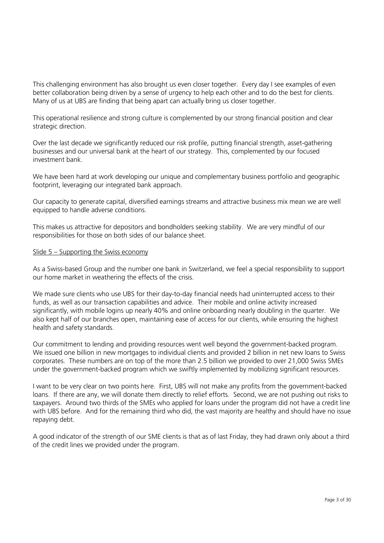This challenging environment has also brought us even closer together. Every day I see examples of even better collaboration being driven by a sense of urgency to help each other and to do the best for clients. Many of us at UBS are finding that being apart can actually bring us closer together.

This operational resilience and strong culture is complemented by our strong financial position and clear strategic direction.

Over the last decade we significantly reduced our risk profile, putting financial strength, asset-gathering businesses and our universal bank at the heart of our strategy. This, complemented by our focused investment bank.

We have been hard at work developing our unique and complementary business portfolio and geographic footprint, leveraging our integrated bank approach.

Our capacity to generate capital, diversified earnings streams and attractive business mix mean we are well equipped to handle adverse conditions.

This makes us attractive for depositors and bondholders seeking stability. We are very mindful of our responsibilities for those on both sides of our balance sheet.

#### Slide 5 – Supporting the Swiss economy

As a Swiss-based Group and the number one bank in Switzerland, we feel a special responsibility to support our home market in weathering the effects of the crisis.

We made sure clients who use UBS for their day-to-day financial needs had uninterrupted access to their funds, as well as our transaction capabilities and advice. Their mobile and online activity increased significantly, with mobile logins up nearly 40% and online onboarding nearly doubling in the quarter. We also kept half of our branches open, maintaining ease of access for our clients, while ensuring the highest health and safety standards.

Our commitment to lending and providing resources went well beyond the government-backed program. We issued one billion in new mortgages to individual clients and provided 2 billion in net new loans to Swiss corporates. These numbers are on top of the more than 2.5 billion we provided to over 21,000 Swiss SMEs under the government-backed program which we swiftly implemented by mobilizing significant resources.

I want to be very clear on two points here. First, UBS will not make any profits from the government-backed loans. If there are any, we will donate them directly to relief efforts. Second, we are not pushing out risks to taxpayers. Around two thirds of the SMEs who applied for loans under the program did not have a credit line with UBS before. And for the remaining third who did, the vast majority are healthy and should have no issue repaying debt.

A good indicator of the strength of our SME clients is that as of last Friday, they had drawn only about a third of the credit lines we provided under the program.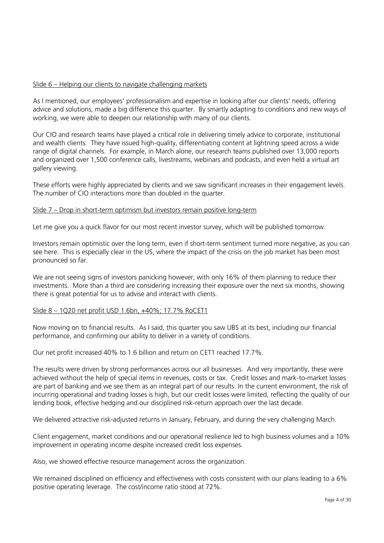# Slide 6 – Helping our clients to navigate challenging markets

As I mentioned, our employees' professionalism and expertise in looking after our clients' needs, offering advice and solutions, made a big difference this quarter. By smartly adapting to conditions and new ways of working, we were able to deepen our relationship with many of our clients.

Our CIO and research teams have played a critical role in delivering timely advice to corporate, institutional and wealth clients. They have issued high-quality, differentiating content at lightning speed across a wide range of digital channels. For example, in March alone, our research teams published over 13,000 reports and organized over 1,500 conference calls, livestreams, webinars and podcasts, and even held a virtual art gallery viewing.

These efforts were highly appreciated by clients and we saw significant increases in their engagement levels. The number of CIO interactions more than doubled in the quarter.

#### Slide 7 – Drop in short-term optimism but investors remain positive long-term

Let me give you a quick flavor for our most recent investor survey, which will be published tomorrow.

Investors remain optimistic over the long term, even if short-term sentiment turned more negative, as you can see here. This is especially clear in the US, where the impact of the crisis on the job market has been most pronounced so far.

We are not seeing signs of investors panicking however, with only 16% of them planning to reduce their investments. More than a third are considering increasing their exposure over the next six months, showing there is great potential for us to advise and interact with clients.

#### Slide 8 – 1Q20 net profit USD 1.6bn, +40%; 17.7% RoCET1

Now moving on to financial results. As I said, this quarter you saw UBS at its best, including our financial performance, and confirming our ability to deliver in a variety of conditions.

Our net profit increased 40% to 1.6 billion and return on CET1 reached 17.7%.

The results were driven by strong performances across our all businesses. And very importantly, these were achieved without the help of special items in revenues, costs or tax. Credit losses and mark-to-market losses are part of banking and we see them as an integral part of our results. In the current environment, the risk of incurring operational and trading losses is high, but our credit losses were limited, reflecting the quality of our lending book, effective hedging and our disciplined risk-return approach over the last decade.

We delivered attractive risk-adjusted returns in January, February, and during the very challenging March.

Client engagement, market conditions and our operational resilience led to high business volumes and a 10% improvement in operating income despite increased credit loss expenses.

Also, we showed effective resource management across the organization.

We remained disciplined on efficiency and effectiveness with costs consistent with our plans leading to a 6% positive operating leverage. The cost/income ratio stood at 72%.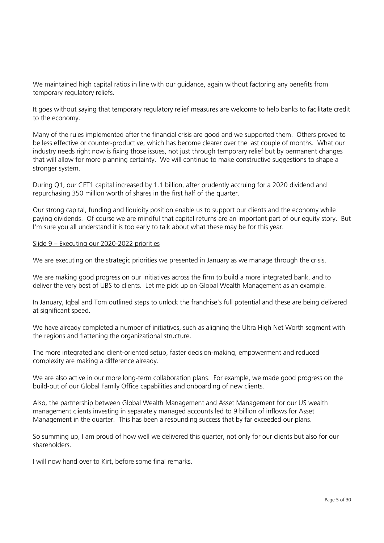We maintained high capital ratios in line with our guidance, again without factoring any benefits from temporary regulatory reliefs.

It goes without saying that temporary regulatory relief measures are welcome to help banks to facilitate credit to the economy.

Many of the rules implemented after the financial crisis are good and we supported them. Others proved to be less effective or counter-productive, which has become clearer over the last couple of months. What our industry needs right now is fixing those issues, not just through temporary relief but by permanent changes that will allow for more planning certainty. We will continue to make constructive suggestions to shape a stronger system.

During Q1, our CET1 capital increased by 1.1 billion, after prudently accruing for a 2020 dividend and repurchasing 350 million worth of shares in the first half of the quarter.

Our strong capital, funding and liquidity position enable us to support our clients and the economy while paying dividends. Of course we are mindful that capital returns are an important part of our equity story. But I'm sure you all understand it is too early to talk about what these may be for this year.

#### Slide 9 – Executing our 2020-2022 priorities

We are executing on the strategic priorities we presented in January as we manage through the crisis.

We are making good progress on our initiatives across the firm to build a more integrated bank, and to deliver the very best of UBS to clients. Let me pick up on Global Wealth Management as an example.

In January, Iqbal and Tom outlined steps to unlock the franchise's full potential and these are being delivered at significant speed.

We have already completed a number of initiatives, such as aligning the Ultra High Net Worth segment with the regions and flattening the organizational structure.

The more integrated and client-oriented setup, faster decision-making, empowerment and reduced complexity are making a difference already.

We are also active in our more long-term collaboration plans. For example, we made good progress on the build-out of our Global Family Office capabilities and onboarding of new clients.

Also, the partnership between Global Wealth Management and Asset Management for our US wealth management clients investing in separately managed accounts led to 9 billion of inflows for Asset Management in the quarter. This has been a resounding success that by far exceeded our plans.

So summing up, I am proud of how well we delivered this quarter, not only for our clients but also for our shareholders.

I will now hand over to Kirt, before some final remarks.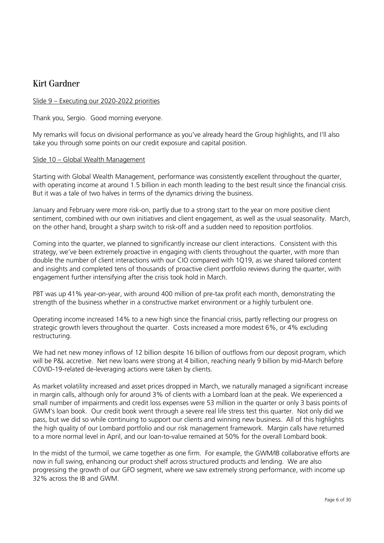# Kirt Gardner

# Slide 9 – Executing our 2020-2022 priorities

Thank you, Sergio. Good morning everyone.

My remarks will focus on divisional performance as you've already heard the Group highlights, and I'll also take you through some points on our credit exposure and capital position.

#### Slide 10 – Global Wealth Management

Starting with Global Wealth Management, performance was consistently excellent throughout the quarter, with operating income at around 1.5 billion in each month leading to the best result since the financial crisis. But it was a tale of two halves in terms of the dynamics driving the business.

January and February were more risk-on, partly due to a strong start to the year on more positive client sentiment, combined with our own initiatives and client engagement, as well as the usual seasonality. March, on the other hand, brought a sharp switch to risk-off and a sudden need to reposition portfolios.

Coming into the quarter, we planned to significantly increase our client interactions. Consistent with this strategy, we've been extremely proactive in engaging with clients throughout the quarter, with more than double the number of client interactions with our CIO compared with 1Q19, as we shared tailored content and insights and completed tens of thousands of proactive client portfolio reviews during the quarter, with engagement further intensifying after the crisis took hold in March.

PBT was up 41% year-on-year, with around 400 million of pre-tax profit each month, demonstrating the strength of the business whether in a constructive market environment or a highly turbulent one.

Operating income increased 14% to a new high since the financial crisis, partly reflecting our progress on strategic growth levers throughout the quarter. Costs increased a more modest 6%, or 4% excluding restructuring.

We had net new money inflows of 12 billion despite 16 billion of outflows from our deposit program, which will be P&L accretive. Net new loans were strong at 4 billion, reaching nearly 9 billion by mid-March before COVID-19-related de-leveraging actions were taken by clients.

As market volatility increased and asset prices dropped in March, we naturally managed a significant increase in margin calls, although only for around 3% of clients with a Lombard loan at the peak. We experienced a small number of impairments and credit loss expenses were 53 million in the quarter or only 3 basis points of GWM's loan book. Our credit book went through a severe real life stress test this quarter. Not only did we pass, but we did so while continuing to support our clients and winning new business. All of this highlights the high quality of our Lombard portfolio and our risk management framework. Margin calls have returned to a more normal level in April, and our loan-to-value remained at 50% for the overall Lombard book.

In the midst of the turmoil, we came together as one firm. For example, the GWM/IB collaborative efforts are now in full swing, enhancing our product shelf across structured products and lending. We are also progressing the growth of our GFO segment, where we saw extremely strong performance, with income up 32% across the IB and GWM.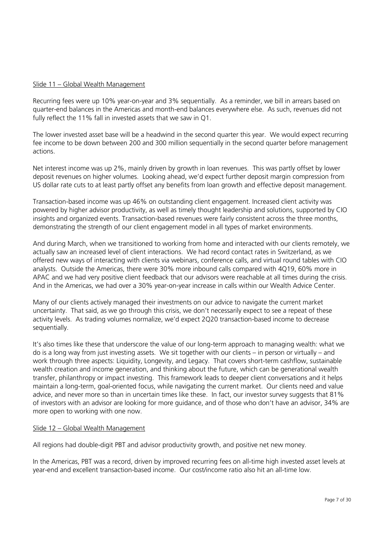#### Slide 11 – Global Wealth Management

Recurring fees were up 10% year-on-year and 3% sequentially. As a reminder, we bill in arrears based on quarter-end balances in the Americas and month-end balances everywhere else. As such, revenues did not fully reflect the 11% fall in invested assets that we saw in Q1.

The lower invested asset base will be a headwind in the second quarter this year. We would expect recurring fee income to be down between 200 and 300 million sequentially in the second quarter before management actions.

Net interest income was up 2%, mainly driven by growth in loan revenues. This was partly offset by lower deposit revenues on higher volumes. Looking ahead, we'd expect further deposit margin compression from US dollar rate cuts to at least partly offset any benefits from loan growth and effective deposit management.

Transaction-based income was up 46% on outstanding client engagement. Increased client activity was powered by higher advisor productivity, as well as timely thought leadership and solutions, supported by CIO insights and organized events. Transaction-based revenues were fairly consistent across the three months, demonstrating the strength of our client engagement model in all types of market environments.

And during March, when we transitioned to working from home and interacted with our clients remotely, we actually saw an increased level of client interactions. We had record contact rates in Switzerland, as we offered new ways of interacting with clients via webinars, conference calls, and virtual round tables with CIO analysts. Outside the Americas, there were 30% more inbound calls compared with 4Q19, 60% more in APAC and we had very positive client feedback that our advisors were reachable at all times during the crisis. And in the Americas, we had over a 30% year-on-year increase in calls within our Wealth Advice Center.

Many of our clients actively managed their investments on our advice to navigate the current market uncertainty. That said, as we go through this crisis, we don't necessarily expect to see a repeat of these activity levels. As trading volumes normalize, we'd expect 2Q20 transaction-based income to decrease sequentially.

It's also times like these that underscore the value of our long-term approach to managing wealth: what we do is a long way from just investing assets. We sit together with our clients – in person or virtually – and work through three aspects: Liquidity, Longevity, and Legacy. That covers short-term cashflow, sustainable wealth creation and income generation, and thinking about the future, which can be generational wealth transfer, philanthropy or impact investing. This framework leads to deeper client conversations and it helps maintain a long-term, goal-oriented focus, while navigating the current market. Our clients need and value advice, and never more so than in uncertain times like these. In fact, our investor survey suggests that 81% of investors with an advisor are looking for more guidance, and of those who don't have an advisor, 34% are more open to working with one now.

#### Slide 12 – Global Wealth Management

All regions had double-digit PBT and advisor productivity growth, and positive net new money.

In the Americas, PBT was a record, driven by improved recurring fees on all-time high invested asset levels at year-end and excellent transaction-based income. Our cost/income ratio also hit an all-time low.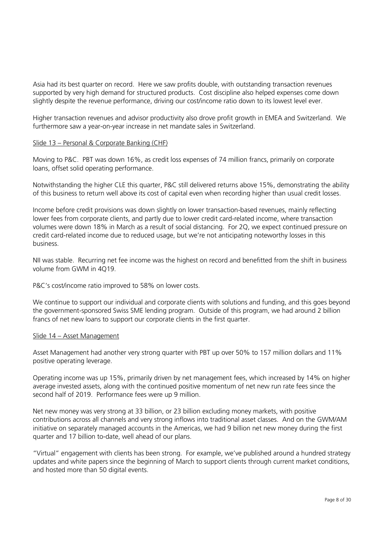Asia had its best quarter on record. Here we saw profits double, with outstanding transaction revenues supported by very high demand for structured products. Cost discipline also helped expenses come down slightly despite the revenue performance, driving our cost/income ratio down to its lowest level ever.

Higher transaction revenues and advisor productivity also drove profit growth in EMEA and Switzerland. We furthermore saw a year-on-year increase in net mandate sales in Switzerland.

#### Slide 13 – Personal & Corporate Banking (CHF)

Moving to P&C. PBT was down 16%, as credit loss expenses of 74 million francs, primarily on corporate loans, offset solid operating performance.

Notwithstanding the higher CLE this quarter, P&C still delivered returns above 15%, demonstrating the ability of this business to return well above its cost of capital even when recording higher than usual credit losses.

Income before credit provisions was down slightly on lower transaction-based revenues, mainly reflecting lower fees from corporate clients, and partly due to lower credit card-related income, where transaction volumes were down 18% in March as a result of social distancing. For 2Q, we expect continued pressure on credit card-related income due to reduced usage, but we're not anticipating noteworthy losses in this business.

NII was stable. Recurring net fee income was the highest on record and benefitted from the shift in business volume from GWM in 4Q19.

P&C's cost/income ratio improved to 58% on lower costs.

We continue to support our individual and corporate clients with solutions and funding, and this goes beyond the government-sponsored Swiss SME lending program. Outside of this program, we had around 2 billion francs of net new loans to support our corporate clients in the first quarter.

#### Slide 14 – Asset Management

Asset Management had another very strong quarter with PBT up over 50% to 157 million dollars and 11% positive operating leverage.

Operating income was up 15%, primarily driven by net management fees, which increased by 14% on higher average invested assets, along with the continued positive momentum of net new run rate fees since the second half of 2019. Performance fees were up 9 million.

Net new money was very strong at 33 billion, or 23 billion excluding money markets, with positive contributions across all channels and very strong inflows into traditional asset classes. And on the GWM/AM initiative on separately managed accounts in the Americas, we had 9 billion net new money during the first quarter and 17 billion to-date, well ahead of our plans.

"Virtual" engagement with clients has been strong. For example, we've published around a hundred strategy updates and white papers since the beginning of March to support clients through current market conditions, and hosted more than 50 digital events.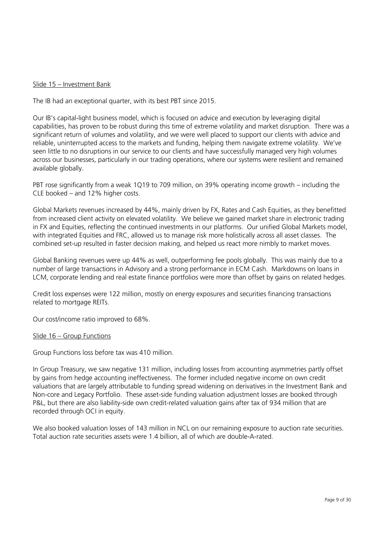### Slide 15 – Investment Bank

The IB had an exceptional quarter, with its best PBT since 2015.

Our IB's capital-light business model, which is focused on advice and execution by leveraging digital capabilities, has proven to be robust during this time of extreme volatility and market disruption. There was a significant return of volumes and volatility, and we were well placed to support our clients with advice and reliable, uninterrupted access to the markets and funding, helping them navigate extreme volatility. We've seen little to no disruptions in our service to our clients and have successfully managed very high volumes across our businesses, particularly in our trading operations, where our systems were resilient and remained available globally.

PBT rose significantly from a weak 1Q19 to 709 million, on 39% operating income growth – including the CLE booked – and 12% higher costs.

Global Markets revenues increased by 44%, mainly driven by FX, Rates and Cash Equities, as they benefitted from increased client activity on elevated volatility. We believe we gained market share in electronic trading in FX and Equities, reflecting the continued investments in our platforms. Our unified Global Markets model, with integrated Equities and FRC, allowed us to manage risk more holistically across all asset classes. The combined set-up resulted in faster decision making, and helped us react more nimbly to market moves.

Global Banking revenues were up 44% as well, outperforming fee pools globally. This was mainly due to a number of large transactions in Advisory and a strong performance in ECM Cash. Markdowns on loans in LCM, corporate lending and real estate finance portfolios were more than offset by gains on related hedges.

Credit loss expenses were 122 million, mostly on energy exposures and securities financing transactions related to mortgage REITs.

Our cost/income ratio improved to 68%.

Slide 16 – Group Functions

Group Functions loss before tax was 410 million.

In Group Treasury, we saw negative 131 million, including losses from accounting asymmetries partly offset by gains from hedge accounting ineffectiveness. The former included negative income on own credit valuations that are largely attributable to funding spread widening on derivatives in the Investment Bank and Non-core and Legacy Portfolio. These asset-side funding valuation adjustment losses are booked through P&L, but there are also liability-side own credit-related valuation gains after tax of 934 million that are recorded through OCI in equity.

We also booked valuation losses of 143 million in NCL on our remaining exposure to auction rate securities. Total auction rate securities assets were 1.4 billion, all of which are double-A-rated.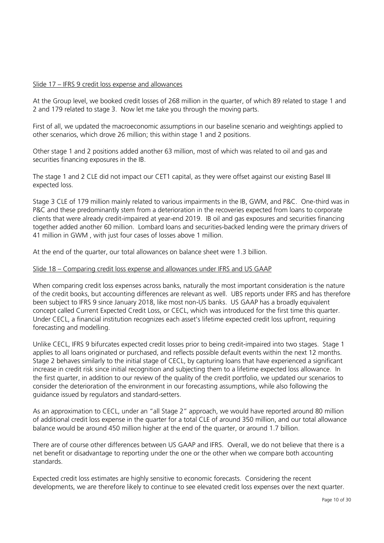### Slide 17 – IFRS 9 credit loss expense and allowances

At the Group level, we booked credit losses of 268 million in the quarter, of which 89 related to stage 1 and 2 and 179 related to stage 3. Now let me take you through the moving parts.

First of all, we updated the macroeconomic assumptions in our baseline scenario and weightings applied to other scenarios, which drove 26 million; this within stage 1 and 2 positions.

Other stage 1 and 2 positions added another 63 million, most of which was related to oil and gas and securities financing exposures in the IB.

The stage 1 and 2 CLE did not impact our CET1 capital, as they were offset against our existing Basel III expected loss.

Stage 3 CLE of 179 million mainly related to various impairments in the IB, GWM, and P&C. One-third was in P&C and these predominantly stem from a deterioration in the recoveries expected from loans to corporate clients that were already credit-impaired at year-end 2019. IB oil and gas exposures and securities financing together added another 60 million. Lombard loans and securities-backed lending were the primary drivers of 41 million in GWM , with just four cases of losses above 1 million.

At the end of the quarter, our total allowances on balance sheet were 1.3 billion.

#### Slide 18 – Comparing credit loss expense and allowances under IFRS and US GAAP

When comparing credit loss expenses across banks, naturally the most important consideration is the nature of the credit books, but accounting differences are relevant as well. UBS reports under IFRS and has therefore been subject to IFRS 9 since January 2018, like most non-US banks. US GAAP has a broadly equivalent concept called Current Expected Credit Loss, or CECL, which was introduced for the first time this quarter. Under CECL, a financial institution recognizes each asset's lifetime expected credit loss upfront, requiring forecasting and modelling.

Unlike CECL, IFRS 9 bifurcates expected credit losses prior to being credit-impaired into two stages. Stage 1 applies to all loans originated or purchased, and reflects possible default events within the next 12 months. Stage 2 behaves similarly to the initial stage of CECL, by capturing loans that have experienced a significant increase in credit risk since initial recognition and subjecting them to a lifetime expected loss allowance. In the first quarter, in addition to our review of the quality of the credit portfolio, we updated our scenarios to consider the deterioration of the environment in our forecasting assumptions, while also following the guidance issued by regulators and standard-setters.

As an approximation to CECL, under an "all Stage 2" approach, we would have reported around 80 million of additional credit loss expense in the quarter for a total CLE of around 350 million, and our total allowance balance would be around 450 million higher at the end of the quarter, or around 1.7 billion.

There are of course other differences between US GAAP and IFRS. Overall, we do not believe that there is a net benefit or disadvantage to reporting under the one or the other when we compare both accounting standards.

Expected credit loss estimates are highly sensitive to economic forecasts. Considering the recent developments, we are therefore likely to continue to see elevated credit loss expenses over the next quarter.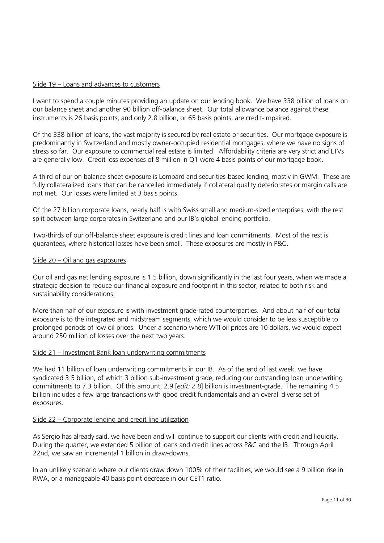#### Slide 19 – Loans and advances to customers

I want to spend a couple minutes providing an update on our lending book. We have 338 billion of loans on our balance sheet and another 90 billion off-balance sheet. Our total allowance balance against these instruments is 26 basis points, and only 2.8 billion, or 65 basis points, are credit-impaired.

Of the 338 billion of loans, the vast majority is secured by real estate or securities. Our mortgage exposure is predominantly in Switzerland and mostly owner-occupied residential mortgages, where we have no signs of stress so far. Our exposure to commercial real estate is limited. Affordability criteria are very strict and LTVs are generally low. Credit loss expenses of 8 million in Q1 were 4 basis points of our mortgage book.

A third of our on balance sheet exposure is Lombard and securities-based lending, mostly in GWM. These are fully collateralized loans that can be cancelled immediately if collateral quality deteriorates or margin calls are not met. Our losses were limited at 3 basis points.

Of the 27 billion corporate loans, nearly half is with Swiss small and medium-sized enterprises, with the rest split between large corporates in Switzerland and our IB's global lending portfolio.

Two-thirds of our off-balance sheet exposure is credit lines and loan commitments. Most of the rest is guarantees, where historical losses have been small. These exposures are mostly in P&C.

#### Slide 20 – Oil and gas exposures

Our oil and gas net lending exposure is 1.5 billion, down significantly in the last four years, when we made a strategic decision to reduce our financial exposure and footprint in this sector, related to both risk and sustainability considerations.

More than half of our exposure is with investment grade-rated counterparties. And about half of our total exposure is to the integrated and midstream segments, which we would consider to be less susceptible to prolonged periods of low oil prices. Under a scenario where WTI oil prices are 10 dollars, we would expect around 250 million of losses over the next two years.

#### Slide 21 – Investment Bank loan underwriting commitments

We had 11 billion of loan underwriting commitments in our IB. As of the end of last week, we have syndicated 3.5 billion, of which 3 billion sub-investment grade, reducing our outstanding loan underwriting commitments to 7.3 billion. Of this amount, 2.9 [*edit: 2.8*] billion is investment-grade. The remaining 4.5 billion includes a few large transactions with good credit fundamentals and an overall diverse set of exposures.

### Slide 22 – Corporate lending and credit line utilization

As Sergio has already said, we have been and will continue to support our clients with credit and liquidity. During the quarter, we extended 5 billion of loans and credit lines across P&C and the IB. Through April 22nd, we saw an incremental 1 billion in draw-downs.

In an unlikely scenario where our clients draw down 100% of their facilities, we would see a 9 billion rise in RWA, or a manageable 40 basis point decrease in our CET1 ratio.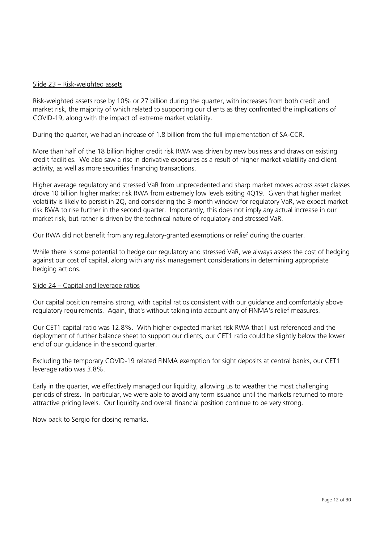#### Slide 23 – Risk-weighted assets

Risk-weighted assets rose by 10% or 27 billion during the quarter, with increases from both credit and market risk, the majority of which related to supporting our clients as they confronted the implications of COVID-19, along with the impact of extreme market volatility.

During the quarter, we had an increase of 1.8 billion from the full implementation of SA-CCR.

More than half of the 18 billion higher credit risk RWA was driven by new business and draws on existing credit facilities. We also saw a rise in derivative exposures as a result of higher market volatility and client activity, as well as more securities financing transactions.

Higher average regulatory and stressed VaR from unprecedented and sharp market moves across asset classes drove 10 billion higher market risk RWA from extremely low levels exiting 4Q19. Given that higher market volatility is likely to persist in 2Q, and considering the 3-month window for regulatory VaR, we expect market risk RWA to rise further in the second quarter. Importantly, this does not imply any actual increase in our market risk, but rather is driven by the technical nature of regulatory and stressed VaR.

Our RWA did not benefit from any regulatory-granted exemptions or relief during the quarter.

While there is some potential to hedge our regulatory and stressed VaR, we always assess the cost of hedging against our cost of capital, along with any risk management considerations in determining appropriate hedging actions.

#### Slide 24 – Capital and leverage ratios

Our capital position remains strong, with capital ratios consistent with our guidance and comfortably above regulatory requirements. Again, that's without taking into account any of FINMA's relief measures.

Our CET1 capital ratio was 12.8%. With higher expected market risk RWA that I just referenced and the deployment of further balance sheet to support our clients, our CET1 ratio could be slightly below the lower end of our guidance in the second quarter.

Excluding the temporary COVID-19 related FINMA exemption for sight deposits at central banks, our CET1 leverage ratio was 3.8%.

Early in the quarter, we effectively managed our liquidity, allowing us to weather the most challenging periods of stress. In particular, we were able to avoid any term issuance until the markets returned to more attractive pricing levels. Our liquidity and overall financial position continue to be very strong.

Now back to Sergio for closing remarks.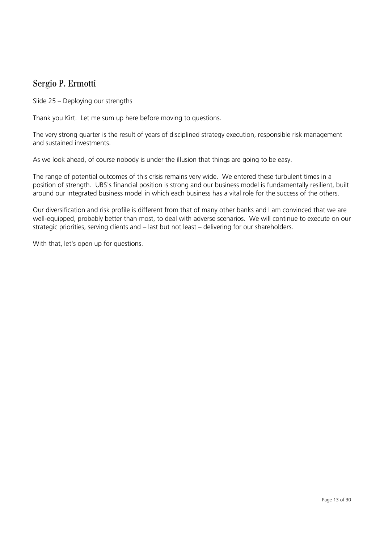# Sergio P. Ermotti

# Slide 25 – Deploying our strengths

Thank you Kirt. Let me sum up here before moving to questions.

The very strong quarter is the result of years of disciplined strategy execution, responsible risk management and sustained investments.

As we look ahead, of course nobody is under the illusion that things are going to be easy.

The range of potential outcomes of this crisis remains very wide. We entered these turbulent times in a position of strength. UBS's financial position is strong and our business model is fundamentally resilient, built around our integrated business model in which each business has a vital role for the success of the others.

Our diversification and risk profile is different from that of many other banks and I am convinced that we are well-equipped, probably better than most, to deal with adverse scenarios. We will continue to execute on our strategic priorities, serving clients and – last but not least – delivering for our shareholders.

With that, let's open up for questions.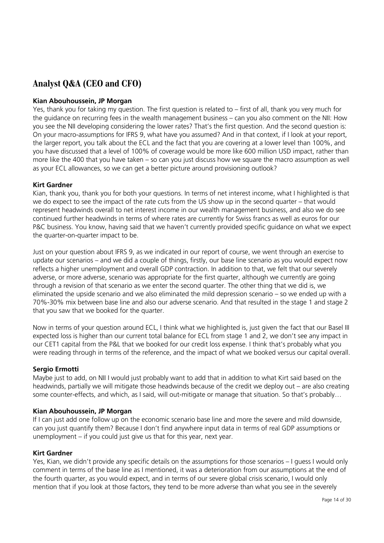# **Analyst Q&A (CEO and CFO)**

# **Kian Abouhoussein, JP Morgan**

Yes, thank you for taking my question. The first question is related to – first of all, thank you very much for the guidance on recurring fees in the wealth management business – can you also comment on the NII: How you see the NII developing considering the lower rates? That's the first question. And the second question is: On your macro-assumptions for IFRS 9, what have you assumed? And in that context, if I look at your report, the larger report, you talk about the ECL and the fact that you are covering at a lower level than 100%, and you have discussed that a level of 100% of coverage would be more like 600 million USD impact, rather than more like the 400 that you have taken – so can you just discuss how we square the macro assumption as well as your ECL allowances, so we can get a better picture around provisioning outlook?

#### **Kirt Gardner**

Kian, thank you, thank you for both your questions. In terms of net interest income, what I highlighted is that we do expect to see the impact of the rate cuts from the US show up in the second quarter – that would represent headwinds overall to net interest income in our wealth management business, and also we do see continued further headwinds in terms of where rates are currently for Swiss francs as well as euros for our P&C business. You know, having said that we haven't currently provided specific guidance on what we expect the quarter-on-quarter impact to be.

Just on your question about IFRS 9, as we indicated in our report of course, we went through an exercise to update our scenarios – and we did a couple of things, firstly, our base line scenario as you would expect now reflects a higher unemployment and overall GDP contraction. In addition to that, we felt that our severely adverse, or more adverse, scenario was appropriate for the first quarter, although we currently are going through a revision of that scenario as we enter the second quarter. The other thing that we did is, we eliminated the upside scenario and we also eliminated the mild depression scenario – so we ended up with a 70%-30% mix between base line and also our adverse scenario. And that resulted in the stage 1 and stage 2 that you saw that we booked for the quarter.

Now in terms of your question around ECL, I think what we highlighted is, just given the fact that our Basel III expected loss is higher than our current total balance for ECL from stage 1 and 2, we don't see any impact in our CET1 capital from the P&L that we booked for our credit loss expense. I think that's probably what you were reading through in terms of the reference, and the impact of what we booked versus our capital overall.

#### **Sergio Ermotti**

Maybe just to add, on NII I would just probably want to add that in addition to what Kirt said based on the headwinds, partially we will mitigate those headwinds because of the credit we deploy out – are also creating some counter-effects, and which, as I said, will out-mitigate or manage that situation. So that's probably...

#### **Kian Abouhoussein, JP Morgan**

If I can just add one follow up on the economic scenario base line and more the severe and mild downside, can you just quantify them? Because I don't find anywhere input data in terms of real GDP assumptions or unemployment – if you could just give us that for this year, next year.

#### **Kirt Gardner**

Yes, Kian, we didn't provide any specific details on the assumptions for those scenarios – I guess I would only comment in terms of the base line as I mentioned, it was a deterioration from our assumptions at the end of the fourth quarter, as you would expect, and in terms of our severe global crisis scenario, I would only mention that if you look at those factors, they tend to be more adverse than what you see in the severely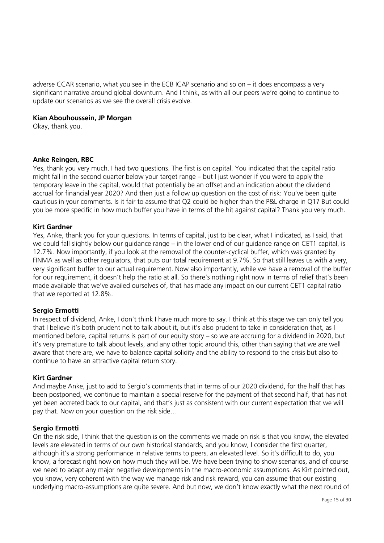adverse CCAR scenario, what you see in the ECB ICAP scenario and so on – it does encompass a very significant narrative around global downturn. And I think, as with all our peers we're going to continue to update our scenarios as we see the overall crisis evolve.

#### **Kian Abouhoussein, JP Morgan**

Okay, thank you.

#### **Anke Reingen, RBC**

Yes, thank you very much. I had two questions. The first is on capital. You indicated that the capital ratio might fall in the second quarter below your target range – but I just wonder if you were to apply the temporary leave in the capital, would that potentially be an offset and an indication about the dividend accrual for financial year 2020? And then just a follow up question on the cost of risk: You've been quite cautious in your comments. Is it fair to assume that Q2 could be higher than the P&L charge in Q1? But could you be more specific in how much buffer you have in terms of the hit against capital? Thank you very much.

# **Kirt Gardner**

Yes, Anke, thank you for your questions. In terms of capital, just to be clear, what I indicated, as I said, that we could fall slightly below our guidance range – in the lower end of our guidance range on CET1 capital, is 12.7%. Now importantly, if you look at the removal of the counter-cyclical buffer, which was granted by FINMA as well as other regulators, that puts our total requirement at 9.7%. So that still leaves us with a very, very significant buffer to our actual requirement. Now also importantly, while we have a removal of the buffer for our requirement, it doesn't help the ratio at all. So there's nothing right now in terms of relief that's been made available that we've availed ourselves of, that has made any impact on our current CET1 capital ratio that we reported at 12.8%.

#### **Sergio Ermotti**

In respect of dividend, Anke, I don't think I have much more to say. I think at this stage we can only tell you that I believe it's both prudent not to talk about it, but it's also prudent to take in consideration that, as I mentioned before, capital returns is part of our equity story – so we are accruing for a dividend in 2020, but it's very premature to talk about levels, and any other topic around this, other than saying that we are well aware that there are, we have to balance capital solidity and the ability to respond to the crisis but also to continue to have an attractive capital return story.

#### **Kirt Gardner**

And maybe Anke, just to add to Sergio's comments that in terms of our 2020 dividend, for the half that has been postponed, we continue to maintain a special reserve for the payment of that second half, that has not yet been accreted back to our capital, and that's just as consistent with our current expectation that we will pay that. Now on your question on the risk side…

#### **Sergio Ermotti**

On the risk side, I think that the question is on the comments we made on risk is that you know, the elevated levels are elevated in terms of our own historical standards, and you know, I consider the first quarter, although it's a strong performance in relative terms to peers, an elevated level. So it's difficult to do, you know, a forecast right now on how much they will be. We have been trying to show scenarios, and of course we need to adapt any major negative developments in the macro-economic assumptions. As Kirt pointed out, you know, very coherent with the way we manage risk and risk reward, you can assume that our existing underlying macro-assumptions are quite severe. And but now, we don't know exactly what the next round of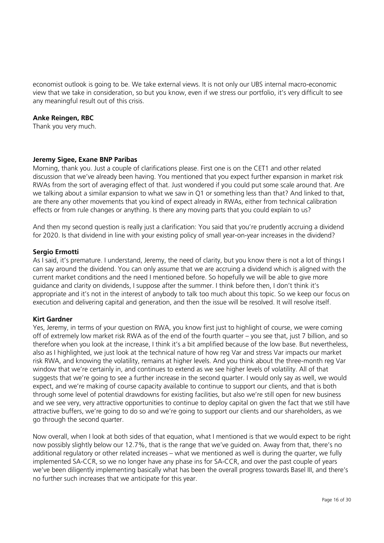economist outlook is going to be. We take external views. It is not only our UBS internal macro-economic view that we take in consideration, so but you know, even if we stress our portfolio, it's very difficult to see any meaningful result out of this crisis.

### **Anke Reingen, RBC**

Thank you very much.

#### **Jeremy Sigee, Exane BNP Paribas**

Morning, thank you. Just a couple of clarifications please. First one is on the CET1 and other related discussion that we've already been having. You mentioned that you expect further expansion in market risk RWAs from the sort of averaging effect of that. Just wondered if you could put some scale around that. Are we talking about a similar expansion to what we saw in Q1 or something less than that? And linked to that, are there any other movements that you kind of expect already in RWAs, either from technical calibration effects or from rule changes or anything. Is there any moving parts that you could explain to us?

And then my second question is really just a clarification: You said that you're prudently accruing a dividend for 2020. Is that dividend in line with your existing policy of small year-on-year increases in the dividend?

#### **Sergio Ermotti**

As I said, it's premature. I understand, Jeremy, the need of clarity, but you know there is not a lot of things I can say around the dividend. You can only assume that we are accruing a dividend which is aligned with the current market conditions and the need I mentioned before. So hopefully we will be able to give more guidance and clarity on dividends, I suppose after the summer. I think before then, I don't think it's appropriate and it's not in the interest of anybody to talk too much about this topic. So we keep our focus on execution and delivering capital and generation, and then the issue will be resolved. It will resolve itself.

#### **Kirt Gardner**

Yes, Jeremy, in terms of your question on RWA, you know first just to highlight of course, we were coming off of extremely low market risk RWA as of the end of the fourth quarter – you see that, just 7 billion, and so therefore when you look at the increase, I think it's a bit amplified because of the low base. But nevertheless, also as I highlighted, we just look at the technical nature of how reg Var and stress Var impacts our market risk RWA, and knowing the volatility, remains at higher levels. And you think about the three-month reg Var window that we're certainly in, and continues to extend as we see higher levels of volatility. All of that suggests that we're going to see a further increase in the second quarter. I would only say as well, we would expect, and we're making of course capacity available to continue to support our clients, and that is both through some level of potential drawdowns for existing facilities, but also we're still open for new business and we see very, very attractive opportunities to continue to deploy capital on given the fact that we still have attractive buffers, we're going to do so and we're going to support our clients and our shareholders, as we go through the second quarter.

Now overall, when I look at both sides of that equation, what I mentioned is that we would expect to be right now possibly slightly below our 12.7%, that is the range that we've guided on. Away from that, there's no additional regulatory or other related increases – what we mentioned as well is during the quarter, we fully implemented SA-CCR, so we no longer have any phase ins for SA-CCR, and over the past couple of years we've been diligently implementing basically what has been the overall progress towards Basel III, and there's no further such increases that we anticipate for this year.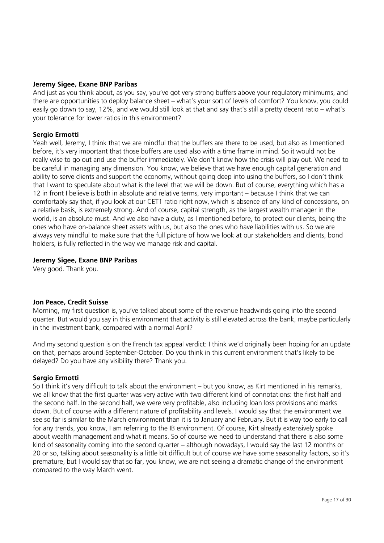#### **Jeremy Sigee, Exane BNP Paribas**

And just as you think about, as you say, you've got very strong buffers above your regulatory minimums, and there are opportunities to deploy balance sheet – what's your sort of levels of comfort? You know, you could easily go down to say, 12%, and we would still look at that and say that's still a pretty decent ratio – what's your tolerance for lower ratios in this environment?

#### **Sergio Ermotti**

Yeah well, Jeremy, I think that we are mindful that the buffers are there to be used, but also as I mentioned before, it's very important that those buffers are used also with a time frame in mind. So it would not be really wise to go out and use the buffer immediately. We don't know how the crisis will play out. We need to be careful in managing any dimension. You know, we believe that we have enough capital generation and ability to serve clients and support the economy, without going deep into using the buffers, so I don't think that I want to speculate about what is the level that we will be down. But of course, everything which has a 12 in front I believe is both in absolute and relative terms, very important – because I think that we can comfortably say that, if you look at our CET1 ratio right now, which is absence of any kind of concessions, on a relative basis, is extremely strong. And of course, capital strength, as the largest wealth manager in the world, is an absolute must. And we also have a duty, as I mentioned before, to protect our clients, being the ones who have on-balance sheet assets with us, but also the ones who have liabilities with us. So we are always very mindful to make sure that the full picture of how we look at our stakeholders and clients, bond holders, is fully reflected in the way we manage risk and capital.

#### **Jeremy Sigee, Exane BNP Paribas**

Very good. Thank you.

#### **Jon Peace, Credit Suisse**

Morning, my first question is, you've talked about some of the revenue headwinds going into the second quarter. But would you say in this environment that activity is still elevated across the bank, maybe particularly in the investment bank, compared with a normal April?

And my second question is on the French tax appeal verdict: I think we'd originally been hoping for an update on that, perhaps around September-October. Do you think in this current environment that's likely to be delayed? Do you have any visibility there? Thank you.

#### **Sergio Ermotti**

So I think it's very difficult to talk about the environment – but you know, as Kirt mentioned in his remarks, we all know that the first quarter was very active with two different kind of connotations: the first half and the second half. In the second half, we were very profitable, also including loan loss provisions and marks down. But of course with a different nature of profitability and levels. I would say that the environment we see so far is similar to the March environment than it is to January and February. But it is way too early to call for any trends, you know, I am referring to the IB environment. Of course, Kirt already extensively spoke about wealth management and what it means. So of course we need to understand that there is also some kind of seasonality coming into the second quarter – although nowadays, I would say the last 12 months or 20 or so, talking about seasonality is a little bit difficult but of course we have some seasonality factors, so it's premature, but I would say that so far, you know, we are not seeing a dramatic change of the environment compared to the way March went.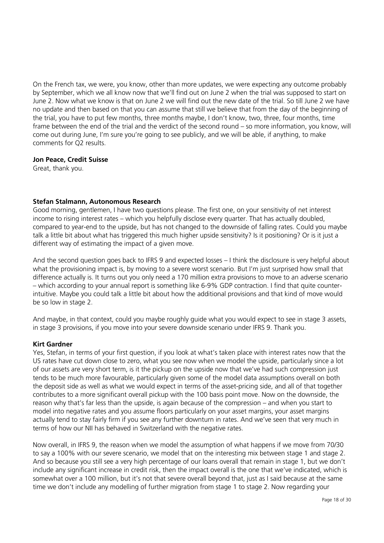On the French tax, we were, you know, other than more updates, we were expecting any outcome probably by September, which we all know now that we'll find out on June 2 when the trial was supposed to start on June 2. Now what we know is that on June 2 we will find out the new date of the trial. So till June 2 we have no update and then based on that you can assume that still we believe that from the day of the beginning of the trial, you have to put few months, three months maybe, I don't know, two, three, four months, time frame between the end of the trial and the verdict of the second round – so more information, you know, will come out during June, I'm sure you're going to see publicly, and we will be able, if anything, to make comments for Q2 results.

# **Jon Peace, Credit Suisse**

Great, thank you.

# **Stefan Stalmann, Autonomous Research**

Good morning, gentlemen, I have two questions please. The first one, on your sensitivity of net interest income to rising interest rates – which you helpfully disclose every quarter. That has actually doubled, compared to year-end to the upside, but has not changed to the downside of falling rates. Could you maybe talk a little bit about what has triggered this much higher upside sensitivity? Is it positioning? Or is it just a different way of estimating the impact of a given move.

And the second question goes back to IFRS 9 and expected losses – I think the disclosure is very helpful about what the provisioning impact is, by moving to a severe worst scenario. But I'm just surprised how small that difference actually is. It turns out you only need a 170 million extra provisions to move to an adverse scenario – which according to your annual report is something like 6-9% GDP contraction. I find that quite counterintuitive. Maybe you could talk a little bit about how the additional provisions and that kind of move would be so low in stage 2.

And maybe, in that context, could you maybe roughly guide what you would expect to see in stage 3 assets, in stage 3 provisions, if you move into your severe downside scenario under IFRS 9. Thank you.

#### **Kirt Gardner**

Yes, Stefan, in terms of your first question, if you look at what's taken place with interest rates now that the US rates have cut down close to zero, what you see now when we model the upside, particularly since a lot of our assets are very short term, is it the pickup on the upside now that we've had such compression just tends to be much more favourable, particularly given some of the model data assumptions overall on both the deposit side as well as what we would expect in terms of the asset-pricing side, and all of that together contributes to a more significant overall pickup with the 100 basis point move. Now on the downside, the reason why that's far less than the upside, is again because of the compression – and when you start to model into negative rates and you assume floors particularly on your asset margins, your asset margins actually tend to stay fairly firm if you see any further downturn in rates. And we've seen that very much in terms of how our NII has behaved in Switzerland with the negative rates.

Now overall, in IFRS 9, the reason when we model the assumption of what happens if we move from 70/30 to say a 100% with our severe scenario, we model that on the interesting mix between stage 1 and stage 2. And so because you still see a very high percentage of our loans overall that remain in stage 1, but we don't include any significant increase in credit risk, then the impact overall is the one that we've indicated, which is somewhat over a 100 million, but it's not that severe overall beyond that, just as I said because at the same time we don't include any modelling of further migration from stage 1 to stage 2. Now regarding your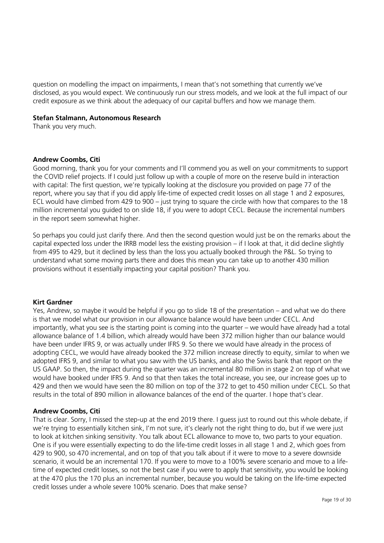question on modelling the impact on impairments, I mean that's not something that currently we've disclosed, as you would expect. We continuously run our stress models, and we look at the full impact of our credit exposure as we think about the adequacy of our capital buffers and how we manage them.

### **Stefan Stalmann, Autonomous Research**

Thank you very much.

# **Andrew Coombs, Citi**

Good morning, thank you for your comments and I'll commend you as well on your commitments to support the COVID relief projects. If I could just follow up with a couple of more on the reserve build in interaction with capital: The first question, we're typically looking at the disclosure you provided on page 77 of the report, where you say that if you did apply life-time of expected credit losses on all stage 1 and 2 exposures, ECL would have climbed from 429 to 900 – just trying to square the circle with how that compares to the 18 million incremental you guided to on slide 18, if you were to adopt CECL. Because the incremental numbers in the report seem somewhat higher.

So perhaps you could just clarify there. And then the second question would just be on the remarks about the capital expected loss under the IRRB model less the existing provision – if I look at that, it did decline slightly from 495 to 429, but it declined by less than the loss you actually booked through the P&L. So trying to understand what some moving parts there and does this mean you can take up to another 430 million provisions without it essentially impacting your capital position? Thank you.

#### **Kirt Gardner**

Yes, Andrew, so maybe it would be helpful if you go to slide 18 of the presentation – and what we do there is that we model what our provision in our allowance balance would have been under CECL. And importantly, what you see is the starting point is coming into the quarter – we would have already had a total allowance balance of 1.4 billion, which already would have been 372 million higher than our balance would have been under IFRS 9, or was actually under IFRS 9. So there we would have already in the process of adopting CECL, we would have already booked the 372 million increase directly to equity, similar to when we adopted IFRS 9, and similar to what you saw with the US banks, and also the Swiss bank that report on the US GAAP. So then, the impact during the quarter was an incremental 80 million in stage 2 on top of what we would have booked under IFRS 9. And so that then takes the total increase, you see, our increase goes up to 429 and then we would have seen the 80 million on top of the 372 to get to 450 million under CECL. So that results in the total of 890 million in allowance balances of the end of the quarter. I hope that's clear.

# **Andrew Coombs, Citi**

That is clear. Sorry, I missed the step-up at the end 2019 there. I guess just to round out this whole debate, if we're trying to essentially kitchen sink, I'm not sure, it's clearly not the right thing to do, but if we were just to look at kitchen sinking sensitivity. You talk about ECL allowance to move to, two parts to your equation. One is if you were essentially expecting to do the life-time credit losses in all stage 1 and 2, which goes from 429 to 900, so 470 incremental, and on top of that you talk about if it were to move to a severe downside scenario, it would be an incremental 170. If you were to move to a 100% severe scenario and move to a lifetime of expected credit losses, so not the best case if you were to apply that sensitivity, you would be looking at the 470 plus the 170 plus an incremental number, because you would be taking on the life-time expected credit losses under a whole severe 100% scenario. Does that make sense?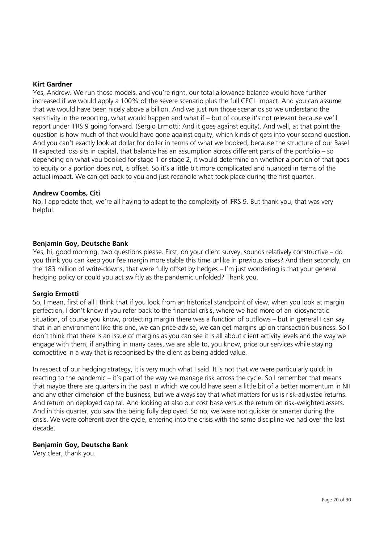#### **Kirt Gardner**

Yes, Andrew. We run those models, and you're right, our total allowance balance would have further increased if we would apply a 100% of the severe scenario plus the full CECL impact. And you can assume that we would have been nicely above a billion. And we just run those scenarios so we understand the sensitivity in the reporting, what would happen and what if – but of course it's not relevant because we'll report under IFRS 9 going forward. (Sergio Ermotti: And it goes against equity). And well, at that point the question is how much of that would have gone against equity, which kinds of gets into your second question. And you can't exactly look at dollar for dollar in terms of what we booked, because the structure of our Basel III expected loss sits in capital, that balance has an assumption across different parts of the portfolio – so depending on what you booked for stage 1 or stage 2, it would determine on whether a portion of that goes to equity or a portion does not, is offset. So it's a little bit more complicated and nuanced in terms of the actual impact. We can get back to you and just reconcile what took place during the first quarter.

#### **Andrew Coombs, Citi**

No, I appreciate that, we're all having to adapt to the complexity of IFRS 9. But thank you, that was very helpful.

#### **Benjamin Goy, Deutsche Bank**

Yes, hi, good morning, two questions please. First, on your client survey, sounds relatively constructive – do you think you can keep your fee margin more stable this time unlike in previous crises? And then secondly, on the 183 million of write-downs, that were fully offset by hedges – I'm just wondering is that your general hedging policy or could you act swiftly as the pandemic unfolded? Thank you.

#### **Sergio Ermotti**

So, I mean, first of all I think that if you look from an historical standpoint of view, when you look at margin perfection, I don't know if you refer back to the financial crisis, where we had more of an idiosyncratic situation, of course you know, protecting margin there was a function of outflows – but in general I can say that in an environment like this one, we can price-advise, we can get margins up on transaction business. So I don't think that there is an issue of margins as you can see it is all about client activity levels and the way we engage with them, if anything in many cases, we are able to, you know, price our services while staying competitive in a way that is recognised by the client as being added value.

In respect of our hedging strategy, it is very much what I said. It is not that we were particularly quick in reacting to the pandemic – it's part of the way we manage risk across the cycle. So I remember that means that maybe there are quarters in the past in which we could have seen a little bit of a better momentum in NII and any other dimension of the business, but we always say that what matters for us is risk-adjusted returns. And return on deployed capital. And looking at also our cost base versus the return on risk-weighted assets. And in this quarter, you saw this being fully deployed. So no, we were not quicker or smarter during the crisis. We were coherent over the cycle, entering into the crisis with the same discipline we had over the last decade.

#### **Benjamin Goy, Deutsche Bank**

Very clear, thank you.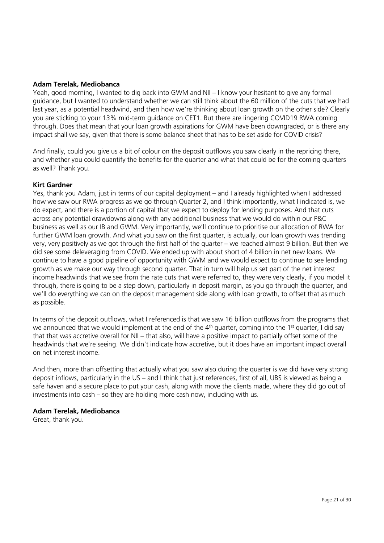### **Adam Terelak, Mediobanca**

Yeah, good morning, I wanted to dig back into GWM and NII – I know your hesitant to give any formal guidance, but I wanted to understand whether we can still think about the 60 million of the cuts that we had last year, as a potential headwind, and then how we're thinking about loan growth on the other side? Clearly you are sticking to your 13% mid-term guidance on CET1. But there are lingering COVID19 RWA coming through. Does that mean that your loan growth aspirations for GWM have been downgraded, or is there any impact shall we say, given that there is some balance sheet that has to be set aside for COVID crisis?

And finally, could you give us a bit of colour on the deposit outflows you saw clearly in the repricing there, and whether you could quantify the benefits for the quarter and what that could be for the coming quarters as well? Thank you.

# **Kirt Gardner**

Yes, thank you Adam, just in terms of our capital deployment – and I already highlighted when I addressed how we saw our RWA progress as we go through Quarter 2, and I think importantly, what I indicated is, we do expect, and there is a portion of capital that we expect to deploy for lending purposes. And that cuts across any potential drawdowns along with any additional business that we would do within our P&C business as well as our IB and GWM. Very importantly, we'll continue to prioritise our allocation of RWA for further GWM loan growth. And what you saw on the first quarter, is actually, our loan growth was trending very, very positively as we got through the first half of the quarter – we reached almost 9 billion. But then we did see some deleveraging from COVID. We ended up with about short of 4 billion in net new loans. We continue to have a good pipeline of opportunity with GWM and we would expect to continue to see lending growth as we make our way through second quarter. That in turn will help us set part of the net interest income headwinds that we see from the rate cuts that were referred to, they were very clearly, if you model it through, there is going to be a step down, particularly in deposit margin, as you go through the quarter, and we'll do everything we can on the deposit management side along with loan growth, to offset that as much as possible.

In terms of the deposit outflows, what I referenced is that we saw 16 billion outflows from the programs that we announced that we would implement at the end of the  $4<sup>th</sup>$  quarter, coming into the 1<sup>st</sup> quarter, I did say that that was accretive overall for NII – that also, will have a positive impact to partially offset some of the headwinds that we're seeing. We didn't indicate how accretive, but it does have an important impact overall on net interest income.

And then, more than offsetting that actually what you saw also during the quarter is we did have very strong deposit inflows, particularly in the US – and I think that just references, first of all, UBS is viewed as being a safe haven and a secure place to put your cash, along with move the clients made, where they did go out of investments into cash – so they are holding more cash now, including with us.

#### **Adam Terelak, Mediobanca**

Great, thank you.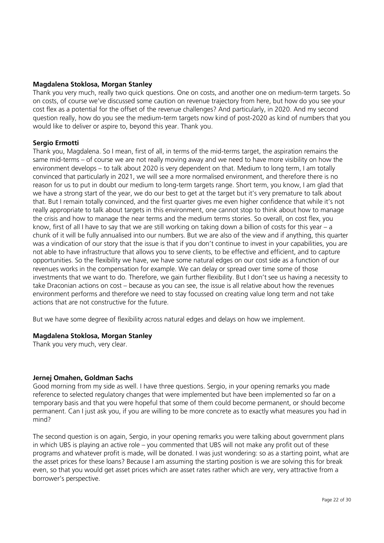# **Magdalena Stoklosa, Morgan Stanley**

Thank you very much, really two quick questions. One on costs, and another one on medium-term targets. So on costs, of course we've discussed some caution on revenue trajectory from here, but how do you see your cost flex as a potential for the offset of the revenue challenges? And particularly, in 2020. And my second question really, how do you see the medium-term targets now kind of post-2020 as kind of numbers that you would like to deliver or aspire to, beyond this year. Thank you.

#### **Sergio Ermotti**

Thank you, Magdalena. So I mean, first of all, in terms of the mid-terms target, the aspiration remains the same mid-terms – of course we are not really moving away and we need to have more visibility on how the environment develops – to talk about 2020 is very dependent on that. Medium to long term, I am totally convinced that particularly in 2021, we will see a more normalised environment, and therefore there is no reason for us to put in doubt our medium to long-term targets range. Short term, you know, I am glad that we have a strong start of the year, we do our best to get at the target but it's very premature to talk about that. But I remain totally convinced, and the first quarter gives me even higher confidence that while it's not really appropriate to talk about targets in this environment, one cannot stop to think about how to manage the crisis and how to manage the near terms and the medium terms stories. So overall, on cost flex, you know, first of all I have to say that we are still working on taking down a billion of costs for this year – a chunk of it will be fully annualised into our numbers. But we are also of the view and if anything, this quarter was a vindication of our story that the issue is that if you don't continue to invest in your capabilities, you are not able to have infrastructure that allows you to serve clients, to be effective and efficient, and to capture opportunities. So the flexibility we have, we have some natural edges on our cost side as a function of our revenues works in the compensation for example. We can delay or spread over time some of those investments that we want to do. Therefore, we gain further flexibility. But I don't see us having a necessity to take Draconian actions on cost – because as you can see, the issue is all relative about how the revenues environment performs and therefore we need to stay focussed on creating value long term and not take actions that are not constructive for the future.

But we have some degree of flexibility across natural edges and delays on how we implement.

#### **Magdalena Stoklosa, Morgan Stanley**

Thank you very much, very clear.

#### **Jernej Omahen, Goldman Sachs**

Good morning from my side as well. I have three questions. Sergio, in your opening remarks you made reference to selected regulatory changes that were implemented but have been implemented so far on a temporary basis and that you were hopeful that some of them could become permanent, or should become permanent. Can I just ask you, if you are willing to be more concrete as to exactly what measures you had in mind?

The second question is on again, Sergio, in your opening remarks you were talking about government plans in which UBS is playing an active role – you commented that UBS will not make any profit out of these programs and whatever profit is made, will be donated. I was just wondering: so as a starting point, what are the asset prices for these loans? Because I am assuming the starting position is we are solving this for break even, so that you would get asset prices which are asset rates rather which are very, very attractive from a borrower's perspective.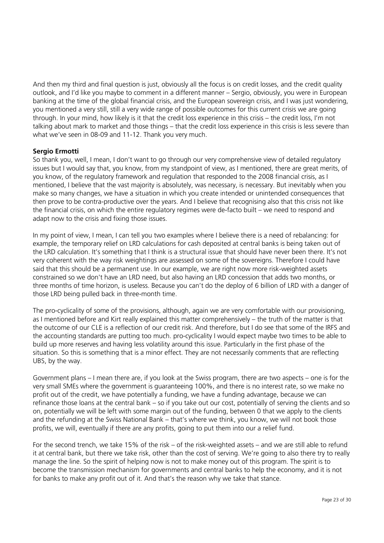And then my third and final question is just, obviously all the focus is on credit losses, and the credit quality outlook, and I'd like you maybe to comment in a different manner – Sergio, obviously, you were in European banking at the time of the global financial crisis, and the European sovereign crisis, and I was just wondering, you mentioned a very still, still a very wide range of possible outcomes for this current crisis we are going through. In your mind, how likely is it that the credit loss experience in this crisis – the credit loss, I'm not talking about mark to market and those things – that the credit loss experience in this crisis is less severe than what we've seen in 08-09 and 11-12. Thank you very much.

# **Sergio Ermotti**

So thank you, well, I mean, I don't want to go through our very comprehensive view of detailed regulatory issues but I would say that, you know, from my standpoint of view, as I mentioned, there are great merits, of you know, of the regulatory framework and regulation that responded to the 2008 financial crisis, as I mentioned, I believe that the vast majority is absolutely, was necessary, is necessary. But inevitably when you make so many changes, we have a situation in which you create intended or unintended consequences that then prove to be contra-productive over the years. And I believe that recognising also that this crisis not like the financial crisis, on which the entire regulatory regimes were de-facto built – we need to respond and adapt now to the crisis and fixing those issues.

In my point of view, I mean, I can tell you two examples where I believe there is a need of rebalancing: for example, the temporary relief on LRD calculations for cash deposited at central banks is being taken out of the LRD calculation. It's something that I think is a structural issue that should have never been there. It's not very coherent with the way risk weightings are assessed on some of the sovereigns. Therefore I could have said that this should be a permanent use. In our example, we are right now more risk-weighted assets constrained so we don't have an LRD need, but also having an LRD concession that adds two months, or three months of time horizon, is useless. Because you can't do the deploy of 6 billion of LRD with a danger of those LRD being pulled back in three-month time.

The pro-cyclicality of some of the provisions, although, again we are very comfortable with our provisioning, as I mentioned before and Kirt really explained this matter comprehensively – the truth of the matter is that the outcome of our CLE is a reflection of our credit risk. And therefore, but I do see that some of the IRFS and the accounting standards are putting too much. pro-cyclicality I would expect maybe two times to be able to build up more reserves and having less volatility around this issue. Particularly in the first phase of the situation. So this is something that is a minor effect. They are not necessarily comments that are reflecting UBS, by the way.

Government plans – I mean there are, if you look at the Swiss program, there are two aspects – one is for the very small SMEs where the government is guaranteeing 100%, and there is no interest rate, so we make no profit out of the credit, we have potentially a funding, we have a funding advantage, because we can refinance those loans at the central bank – so if you take out our cost, potentially of serving the clients and so on, potentially we will be left with some margin out of the funding, between 0 that we apply to the clients and the refunding at the Swiss National Bank – that's where we think, you know, we will not book those profits, we will, eventually if there are any profits, going to put them into our a relief fund.

For the second trench, we take 15% of the risk – of the risk-weighted assets – and we are still able to refund it at central bank, but there we take risk, other than the cost of serving. We're going to also there try to really manage the line. So the spirit of helping now is not to make money out of this program. The spirit is to become the transmission mechanism for governments and central banks to help the economy, and it is not for banks to make any profit out of it. And that's the reason why we take that stance.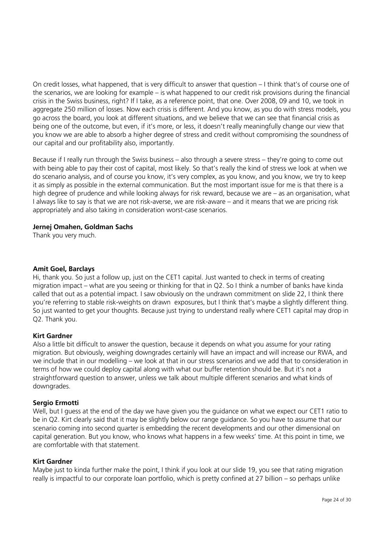On credit losses, what happened, that is very difficult to answer that question – I think that's of course one of the scenarios, we are looking for example – is what happened to our credit risk provisions during the financial crisis in the Swiss business, right? If I take, as a reference point, that one. Over 2008, 09 and 10, we took in aggregate 250 million of losses. Now each crisis is different. And you know, as you do with stress models, you go across the board, you look at different situations, and we believe that we can see that financial crisis as being one of the outcome, but even, if it's more, or less, it doesn't really meaningfully change our view that you know we are able to absorb a higher degree of stress and credit without compromising the soundness of our capital and our profitability also, importantly.

Because if I really run through the Swiss business – also through a severe stress – they're going to come out with being able to pay their cost of capital, most likely. So that's really the kind of stress we look at when we do scenario analysis, and of course you know, it's very complex, as you know, and you know, we try to keep it as simply as possible in the external communication. But the most important issue for me is that there is a high degree of prudence and while looking always for risk reward, because we are – as an organisation, what I always like to say is that we are not risk-averse, we are risk-aware – and it means that we are pricing risk appropriately and also taking in consideration worst-case scenarios.

# **Jernej Omahen, Goldman Sachs**

Thank you very much.

# **Amit Goel, Barclays**

Hi, thank you. So just a follow up, just on the CET1 capital. Just wanted to check in terms of creating migration impact – what are you seeing or thinking for that in Q2. So I think a number of banks have kinda called that out as a potential impact. I saw obviously on the undrawn commitment on slide 22, I think there you're referring to stable risk-weights on drawn exposures, but I think that's maybe a slightly different thing. So just wanted to get your thoughts. Because just trying to understand really where CET1 capital may drop in Q2. Thank you.

# **Kirt Gardner**

Also a little bit difficult to answer the question, because it depends on what you assume for your rating migration. But obviously, weighing downgrades certainly will have an impact and will increase our RWA, and we include that in our modelling – we look at that in our stress scenarios and we add that to consideration in terms of how we could deploy capital along with what our buffer retention should be. But it's not a straightforward question to answer, unless we talk about multiple different scenarios and what kinds of downgrades.

# **Sergio Ermotti**

Well, but I guess at the end of the day we have given you the guidance on what we expect our CET1 ratio to be in Q2. Kirt clearly said that it may be slightly below our range guidance. So you have to assume that our scenario coming into second quarter is embedding the recent developments and our other dimensional on capital generation. But you know, who knows what happens in a few weeks' time. At this point in time, we are comfortable with that statement.

#### **Kirt Gardner**

Maybe just to kinda further make the point, I think if you look at our slide 19, you see that rating migration really is impactful to our corporate loan portfolio, which is pretty confined at 27 billion – so perhaps unlike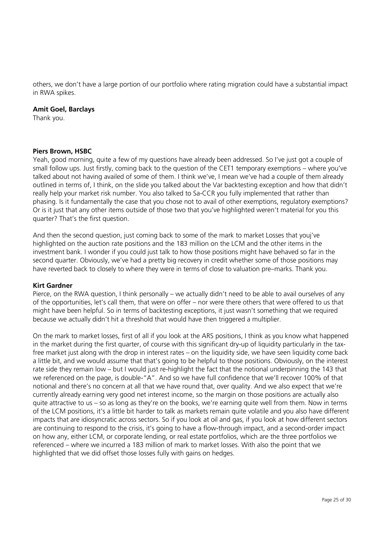others, we don't have a large portion of our portfolio where rating migration could have a substantial impact in RWA spikes.

#### **Amit Goel, Barclays**

Thank you.

#### **Piers Brown, HSBC**

Yeah, good morning, quite a few of my questions have already been addressed. So I've just got a couple of small follow ups. Just firstly, coming back to the question of the CET1 temporary exemptions – where you've talked about not having availed of some of them. I think we've, I mean we've had a couple of them already outlined in terms of, I think, on the slide you talked about the Var backtesting exception and how that didn't really help your market risk number. You also talked to Sa-CCR you fully implemented that rather than phasing. Is it fundamentally the case that you chose not to avail of other exemptions, regulatory exemptions? Or is it just that any other items outside of those two that you've highlighted weren't material for you this quarter? That's the first question.

And then the second question, just coming back to some of the mark to market Losses that youj've highlighted on the auction rate positions and the 183 million on the LCM and the other items in the investment bank. I wonder if you could just talk to how those positions might have behaved so far in the second quarter. Obviously, we've had a pretty big recovery in credit whether some of those positions may have reverted back to closely to where they were in terms of close to valuation pre–marks. Thank you.

#### **Kirt Gardner**

Pierce, on the RWA question, I think personally – we actually didn't need to be able to avail ourselves of any of the opportunities, let's call them, that were on offer – nor were there others that were offered to us that might have been helpful. So in terms of backtesting exceptions, it just wasn't something that we required because we actually didn't hit a threshold that would have then triggered a multiplier.

On the mark to market losses, first of all if you look at the ARS positions, I think as you know what happened in the market during the first quarter, of course with this significant dry-up of liquidity particularly in the taxfree market just along with the drop in interest rates – on the liquidity side, we have seen liquidity come back a little bit, and we would assume that that's going to be helpful to those positions. Obviously, on the interest rate side they remain low – but I would just re-highlight the fact that the notional underpinning the 143 that we referenced on the page, is double-"A". And so we have full confidence that we'll recover 100% of that notional and there's no concern at all that we have round that, over quality. And we also expect that we're currently already earning very good net interest income, so the margin on those positions are actually also quite attractive to us – so as long as they're on the books, we're earning quite well from them. Now in terms of the LCM positions, it's a little bit harder to talk as markets remain quite volatile and you also have different impacts that are idiosyncratic across sectors. So if you look at oil and gas, if you look at how different sectors are continuing to respond to the crisis, it's going to have a flow-through impact, and a second-order impact on how any, either LCM, or corporate lending, or real estate portfolios, which are the three portfolios we referenced – where we incurred a 183 million of mark to market losses. With also the point that we highlighted that we did offset those losses fully with gains on hedges.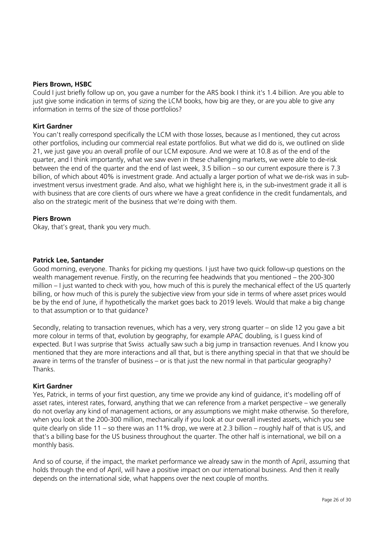#### **Piers Brown, HSBC**

Could I just briefly follow up on, you gave a number for the ARS book I think it's 1.4 billion. Are you able to just give some indication in terms of sizing the LCM books, how big are they, or are you able to give any information in terms of the size of those portfolios?

### **Kirt Gardner**

You can't really correspond specifically the LCM with those losses, because as I mentioned, they cut across other portfolios, including our commercial real estate portfolios. But what we did do is, we outlined on slide 21, we just gave you an overall profile of our LCM exposure. And we were at 10.8 as of the end of the quarter, and I think importantly, what we saw even in these challenging markets, we were able to de-risk between the end of the quarter and the end of last week, 3.5 billion – so our current exposure there is 7.3 billion, of which about 40% is investment grade. And actually a larger portion of what we de-risk was in subinvestment versus investment grade. And also, what we highlight here is, in the sub-investment grade it all is with business that are core clients of ours where we have a great confidence in the credit fundamentals, and also on the strategic merit of the business that we're doing with them.

#### **Piers Brown**

Okay, that's great, thank you very much.

# **Patrick Lee, Santander**

Good morning, everyone. Thanks for picking my questions. I just have two quick follow-up questions on the wealth management revenue. Firstly, on the recurring fee headwinds that you mentioned – the 200-300 million – I just wanted to check with you, how much of this is purely the mechanical effect of the US quarterly billing, or how much of this is purely the subjective view from your side in terms of where asset prices would be by the end of June, if hypothetically the market goes back to 2019 levels. Would that make a big change to that assumption or to that guidance?

Secondly, relating to transaction revenues, which has a very, very strong quarter – on slide 12 you gave a bit more colour in terms of that, evolution by geography, for example APAC doubling, is I guess kind of expected. But I was surprise that Swiss actually saw such a big jump in transaction revenues. And I know you mentioned that they are more interactions and all that, but is there anything special in that that we should be aware in terms of the transfer of business – or is that just the new normal in that particular geography? Thanks.

#### **Kirt Gardner**

Yes, Patrick, in terms of your first question, any time we provide any kind of guidance, it's modelling off of asset rates, interest rates, forward, anything that we can reference from a market perspective – we generally do not overlay any kind of management actions, or any assumptions we might make otherwise. So therefore, when you look at the 200-300 million, mechanically if you look at our overall invested assets, which you see quite clearly on slide 11 – so there was an 11% drop, we were at 2.3 billion – roughly half of that is US, and that's a billing base for the US business throughout the quarter. The other half is international, we bill on a monthly basis.

And so of course, if the impact, the market performance we already saw in the month of April, assuming that holds through the end of April, will have a positive impact on our international business. And then it really depends on the international side, what happens over the next couple of months.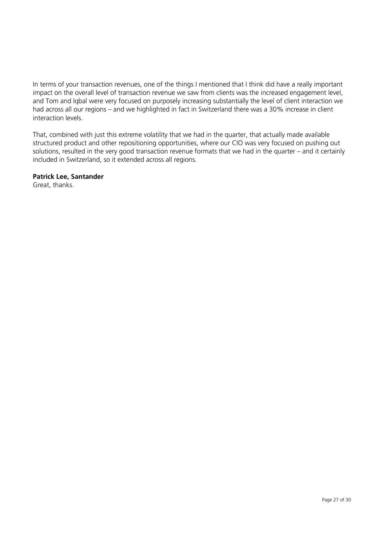In terms of your transaction revenues, one of the things I mentioned that I think did have a really important impact on the overall level of transaction revenue we saw from clients was the increased engagement level, and Tom and Iqbal were very focused on purposely increasing substantially the level of client interaction we had across all our regions – and we highlighted in fact in Switzerland there was a 30% increase in client interaction levels.

That, combined with just this extreme volatility that we had in the quarter, that actually made available structured product and other repositioning opportunities, where our CIO was very focused on pushing out solutions, resulted in the very good transaction revenue formats that we had in the quarter – and it certainly included in Switzerland, so it extended across all regions.

# **Patrick Lee, Santander**

Great, thanks.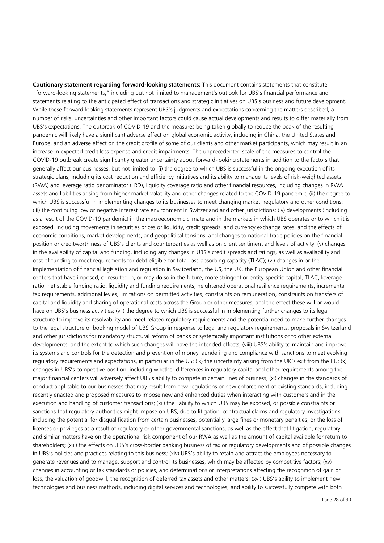**Cautionary statement regarding forward-looking statements:** This document contains statements that constitute "forward-looking statements," including but not limited to management's outlook for UBS's financial performance and statements relating to the anticipated effect of transactions and strategic initiatives on UBS's business and future development. While these forward-looking statements represent UBS's judgments and expectations concerning the matters described, a number of risks, uncertainties and other important factors could cause actual developments and results to differ materially from UBS's expectations. The outbreak of COVID-19 and the measures being taken globally to reduce the peak of the resulting pandemic will likely have a significant adverse effect on global economic activity, including in China, the United States and Europe, and an adverse effect on the credit profile of some of our clients and other market participants, which may result in an increase in expected credit loss expense and credit impairments. The unprecedented scale of the measures to control the COVID-19 outbreak create significantly greater uncertainty about forward-looking statements in addition to the factors that generally affect our businesses, but not limited to: (i) the degree to which UBS is successful in the ongoing execution of its strategic plans, including its cost reduction and efficiency initiatives and its ability to manage its levels of risk-weighted assets (RWA) and leverage ratio denominator (LRD), liquidity coverage ratio and other financial resources, including changes in RWA assets and liabilities arising from higher market volatility and other changes related to the COVID-19 pandemic; (ii) the degree to which UBS is successful in implementing changes to its businesses to meet changing market, regulatory and other conditions; (iii) the continuing low or negative interest rate environment in Switzerland and other jurisdictions; (iv) developments (including as a result of the COVID-19 pandemic) in the macroeconomic climate and in the markets in which UBS operates or to which it is exposed, including movements in securities prices or liquidity, credit spreads, and currency exchange rates, and the effects of economic conditions, market developments, and geopolitical tensions, and changes to national trade policies on the financial position or creditworthiness of UBS's clients and counterparties as well as on client sentiment and levels of activity; (v) changes in the availability of capital and funding, including any changes in UBS's credit spreads and ratings, as well as availability and cost of funding to meet requirements for debt eligible for total loss-absorbing capacity (TLAC); (vi) changes in or the implementation of financial legislation and regulation in Switzerland, the US, the UK, the European Union and other financial centers that have imposed, or resulted in, or may do so in the future, more stringent or entity-specific capital, TLAC, leverage ratio, net stable funding ratio, liquidity and funding requirements, heightened operational resilience requirements, incremental tax requirements, additional levies, limitations on permitted activities, constraints on remuneration, constraints on transfers of capital and liquidity and sharing of operational costs across the Group or other measures, and the effect these will or would have on UBS's business activities; (vii) the degree to which UBS is successful in implementing further changes to its legal structure to improve its resolvability and meet related regulatory requirements and the potential need to make further changes to the legal structure or booking model of UBS Group in response to legal and regulatory requirements, proposals in Switzerland and other jurisdictions for mandatory structural reform of banks or systemically important institutions or to other external developments, and the extent to which such changes will have the intended effects; (viii) UBS's ability to maintain and improve its systems and controls for the detection and prevention of money laundering and compliance with sanctions to meet evolving regulatory requirements and expectations, in particular in the US; (ix) the uncertainty arising from the UK's exit from the EU; (x) changes in UBS's competitive position, including whether differences in regulatory capital and other requirements among the major financial centers will adversely affect UBS's ability to compete in certain lines of business; (xi) changes in the standards of conduct applicable to our businesses that may result from new regulations or new enforcement of existing standards, including recently enacted and proposed measures to impose new and enhanced duties when interacting with customers and in the execution and handling of customer transactions; (xii) the liability to which UBS may be exposed, or possible constraints or sanctions that regulatory authorities might impose on UBS, due to litigation, contractual claims and regulatory investigations, including the potential for disqualification from certain businesses, potentially large fines or monetary penalties, or the loss of licenses or privileges as a result of regulatory or other governmental sanctions, as well as the effect that litigation, regulatory and similar matters have on the operational risk component of our RWA as well as the amount of capital available for return to shareholders; (xiii) the effects on UBS's cross-border banking business of tax or regulatory developments and of possible changes in UBS's policies and practices relating to this business; (xiv) UBS's ability to retain and attract the employees necessary to generate revenues and to manage, support and control its businesses, which may be affected by competitive factors; (xv) changes in accounting or tax standards or policies, and determinations or interpretations affecting the recognition of gain or loss, the valuation of goodwill, the recognition of deferred tax assets and other matters; (xvi) UBS's ability to implement new technologies and business methods, including digital services and technologies, and ability to successfully compete with both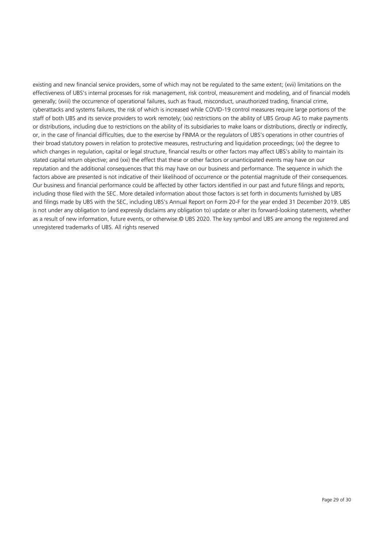existing and new financial service providers, some of which may not be regulated to the same extent; (xvii) limitations on the effectiveness of UBS's internal processes for risk management, risk control, measurement and modeling, and of financial models generally; (xviii) the occurrence of operational failures, such as fraud, misconduct, unauthorized trading, financial crime, cyberattacks and systems failures, the risk of which is increased while COVID-19 control measures require large portions of the staff of both UBS and its service providers to work remotely; (xix) restrictions on the ability of UBS Group AG to make payments or distributions, including due to restrictions on the ability of its subsidiaries to make loans or distributions, directly or indirectly, or, in the case of financial difficulties, due to the exercise by FINMA or the regulators of UBS's operations in other countries of their broad statutory powers in relation to protective measures, restructuring and liquidation proceedings; (xx) the degree to which changes in regulation, capital or legal structure, financial results or other factors may affect UBS's ability to maintain its stated capital return objective; and (xxi) the effect that these or other factors or unanticipated events may have on our reputation and the additional consequences that this may have on our business and performance. The sequence in which the factors above are presented is not indicative of their likelihood of occurrence or the potential magnitude of their consequences. Our business and financial performance could be affected by other factors identified in our past and future filings and reports, including those filed with the SEC. More detailed information about those factors is set forth in documents furnished by UBS and filings made by UBS with the SEC, including UBS's Annual Report on Form 20-F for the year ended 31 December 2019. UBS is not under any obligation to (and expressly disclaims any obligation to) update or alter its forward-looking statements, whether as a result of new information, future events, or otherwise.© UBS 2020. The key symbol and UBS are among the registered and unregistered trademarks of UBS. All rights reserved